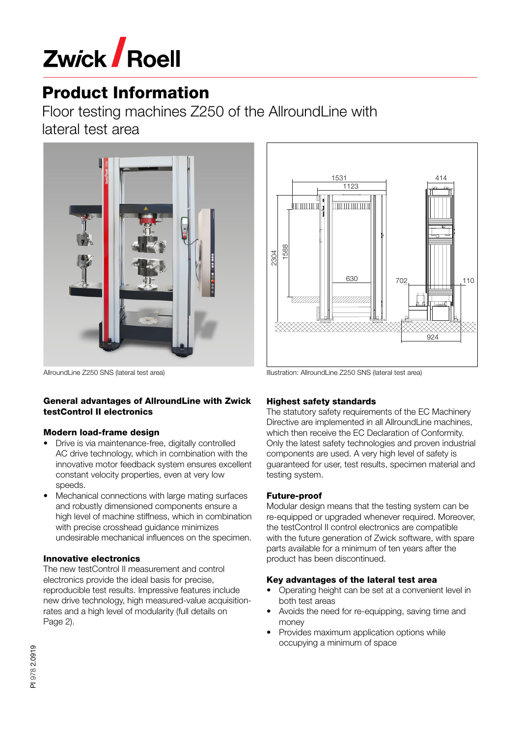

# Product Information

Floor testing machines Z250 of the AllroundLine with lateral test area



AllroundLine Z250 SNS (lateral test area)

#### General advantages of AllroundLine with Zwick testControl II electronics

#### Modern load-frame design

- Drive is via maintenance-free, digitally controlled AC drive technology, which in combination with the innovative motor feedback system ensures excellent constant velocity properties, even at very low speeds.
- Mechanical connections with large mating surfaces and robustly dimensioned components ensure a high level of machine stiffness, which in combination with precise crosshead guidance minimizes undesirable mechanical influences on the specimen.

### Innovative electronics

The new testControl II measurement and control electronics provide the ideal basis for precise, reproducible test results. Impressive features include new drive technology, high measured-value acquisitionrates and a high level of modularity (full details on Page 2).



Illustration: AllroundLine Z250 SNS (lateral test area)

### Highest safety standards

The statutory safety requirements of the EC Machinery Directive are implemented in all AllroundLine machines, which then receive the EC Declaration of Conformity. Only the latest safety technologies and proven industrial components are used. A very high level of safety is guaranteed for user, test results, specimen material and testing system.

### Future-proof

Modular design means that the testing system can be re-equipped or upgraded whenever required. Moreover, the testControl II control electronics are compatible with the future generation of Zwick software, with spare parts available for a minimum of ten years after the product has been discontinued.

### Key advantages of the lateral test area

- Operating height can be set at a convenient level in both test areas
- Avoids the need for re-equipping, saving time and money
- Provides maximum application options while occupying a minimum of space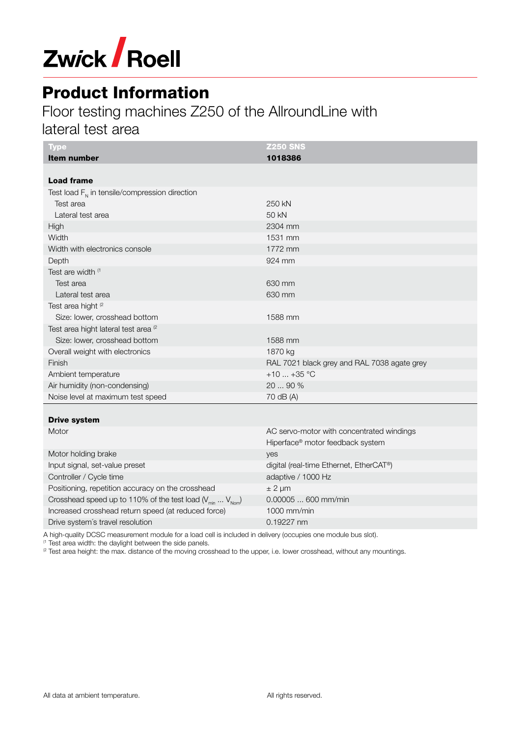

## Product Information

### Floor testing machines Z250 of the AllroundLine with

lateral test area

| <b>Type</b>                                                       | <b>Z250 SNS</b>                             |
|-------------------------------------------------------------------|---------------------------------------------|
| <b>Item number</b>                                                | 1018386                                     |
|                                                                   |                                             |
| <b>Load frame</b>                                                 |                                             |
| Test load $F_{N}$ in tensile/compression direction                |                                             |
| Test area                                                         | 250 kN                                      |
| Lateral test area                                                 | 50 kN                                       |
| High                                                              | 2304 mm                                     |
| Width                                                             | 1531 mm                                     |
| Width with electronics console                                    | 1772 mm                                     |
| Depth                                                             | 924 mm                                      |
| Test are width (1                                                 |                                             |
| Test area                                                         | 630 mm                                      |
| Lateral test area                                                 | 630 mm                                      |
| Test area hight <sup>(2</sup>                                     |                                             |
| Size: lower, crosshead bottom                                     | 1588 mm                                     |
| Test area hight lateral test area <sup>(2</sup>                   |                                             |
| Size: lower, crosshead bottom                                     | 1588 mm                                     |
| Overall weight with electronics                                   | 1870 kg                                     |
| Finish                                                            | RAL 7021 black grey and RAL 7038 agate grey |
| Ambient temperature                                               | +10 $$ +35 °C                               |
| Air humidity (non-condensing)                                     | 20  90 %                                    |
| Noise level at maximum test speed                                 | 70 dB (A)                                   |
|                                                                   |                                             |
| <b>Drive system</b>                                               |                                             |
| Motor                                                             | AC servo-motor with concentrated windings   |
|                                                                   | Hiperface® motor feedback system            |
| Motor holding brake                                               | yes                                         |
| Input signal, set-value preset                                    | digital (real-time Ethernet, EtherCAT®)     |
| Controller / Cycle time                                           | adaptive / 1000 Hz                          |
| Positioning, repetition accuracy on the crosshead                 | $± 2 \mu m$                                 |
| Crosshead speed up to 110% of the test load $(V_{min}  V_{Norm})$ | 0.00005  600 mm/min                         |
| Increased crosshead return speed (at reduced force)               | 1000 mm/min                                 |

Drive system's travel resolution 0.19227 nm

A high-quality DCSC measurement module for a load cell is included in delivery (occupies one module bus slot).

(1 Test area width: the daylight between the side panels.

<sup>2</sup> Test area height: the max. distance of the moving crosshead to the upper, i.e. lower crosshead, without any mountings.